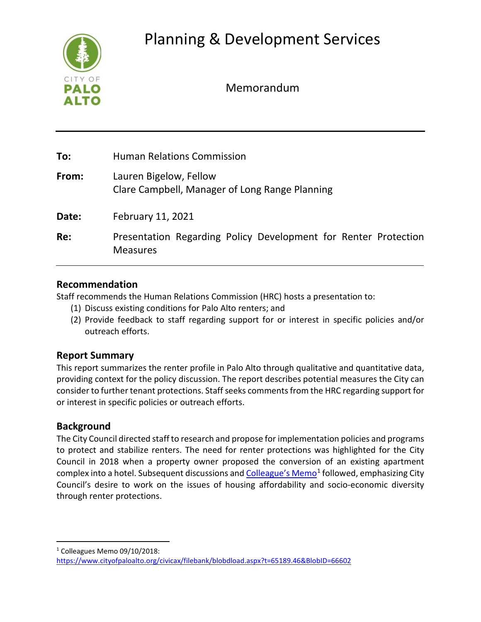

Memorandum

| To:   | <b>Human Relations Commission</b>                                                  |
|-------|------------------------------------------------------------------------------------|
| From: | Lauren Bigelow, Fellow<br>Clare Campbell, Manager of Long Range Planning           |
| Date: | February 11, 2021                                                                  |
| Re:   | Presentation Regarding Policy Development for Renter Protection<br><b>Measures</b> |

# **Recommendation**

Staff recommends the Human Relations Commission (HRC) hosts a presentation to:

- (1) Discuss existing conditions for Palo Alto renters; and
- (2) Provide feedback to staff regarding support for or interest in specific policies and/or outreach efforts.

# **Report Summary**

This report summarizes the renter profile in Palo Alto through qualitative and quantitative data, providing context for the policy discussion. The report describes potential measures the City can consider to further tenant protections. Staff seeks comments from the HRC regarding support for or interest in specific policies or outreach efforts.

# **Background**

The City Council directed staff to research and propose for implementation policies and programs to protect and stabilize renters. The need for renter protections was highlighted for the City Council in 2018 when a property owner proposed the conversion of an existing apartment complex into a hotel. Subsequent discussions an[d Colleague's Memo](https://www.cityofpaloalto.org/civicax/filebank/blobdload.aspx?t=65189.46&BlobID=66602)<sup>[1](#page-0-0)</sup> followed, emphasizing City Council's desire to work on the issues of housing affordability and socio-economic diversity through renter protections.

<span id="page-0-0"></span><sup>1</sup> Colleagues Memo 09/10/2018:

<https://www.cityofpaloalto.org/civicax/filebank/blobdload.aspx?t=65189.46&BlobID=66602>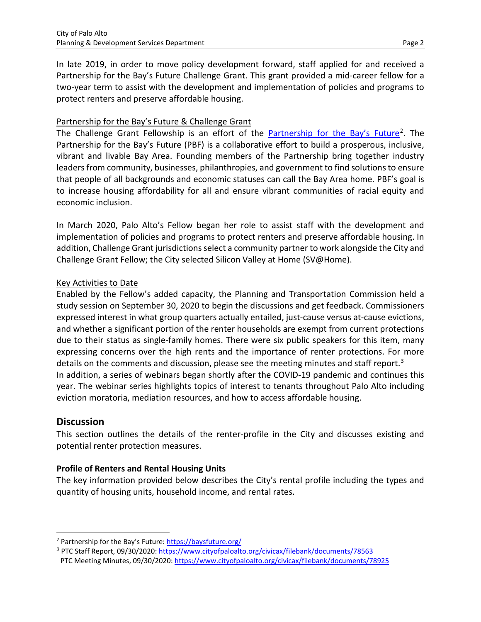In late 2019, in order to move policy development forward, staff applied for and received a Partnership for the Bay's Future Challenge Grant. This grant provided a mid-career fellow for a two-year term to assist with the development and implementation of policies and programs to protect renters and preserve affordable housing.

## Partnership for the Bay's Future & Challenge Grant

The Challenge Grant Fellowship is an effort of the [Partnership for the Bay's Future](https://baysfuture.org/)<sup>[2](#page-1-0)</sup>. The Partnership for the Bay's Future (PBF) is a collaborative effort to build a prosperous, inclusive, vibrant and livable Bay Area. Founding members of the Partnership bring together industry leaders from community, businesses, philanthropies, and government to find solutions to ensure that people of all backgrounds and economic statuses can call the Bay Area home. PBF's goal is to increase housing affordability for all and ensure vibrant communities of racial equity and economic inclusion.

In March 2020, Palo Alto's Fellow began her role to assist staff with the development and implementation of policies and programs to protect renters and preserve affordable housing. In addition, Challenge Grant jurisdictions select a community partner to work alongside the City and Challenge Grant Fellow; the City selected Silicon Valley at Home (SV@Home).

## Key Activities to Date

Enabled by the Fellow's added capacity, the Planning and Transportation Commission held a study session on September 30, 2020 to begin the discussions and get feedback. Commissioners expressed interest in what group quarters actually entailed, just-cause versus at-cause evictions, and whether a significant portion of the renter households are exempt from current protections due to their status as single-family homes. There were six public speakers for this item, many expressing concerns over the high rents and the importance of renter protections. For more details on the comments and discussion, please see the meeting minutes and staff report.<sup>[3](#page-1-1)</sup> In addition, a series of webinars began shortly after the COVID-19 pandemic and continues this year. The webinar series highlights topics of interest to tenants throughout Palo Alto including eviction moratoria, mediation resources, and how to access affordable housing.

## **Discussion**

This section outlines the details of the renter-profile in the City and discusses existing and potential renter protection measures.

### **Profile of Renters and Rental Housing Units**

The key information provided below describes the City's rental profile including the types and quantity of housing units, household income, and rental rates.

<span id="page-1-0"></span><sup>2</sup> Partnership for the Bay's Future:<https://baysfuture.org/>

<span id="page-1-1"></span><sup>3</sup> PTC Staff Report, 09/30/2020:<https://www.cityofpaloalto.org/civicax/filebank/documents/78563> PTC Meeting Minutes, 09/30/2020[: https://www.cityofpaloalto.org/civicax/filebank/documents/78925](https://www.cityofpaloalto.org/civicax/filebank/documents/78925)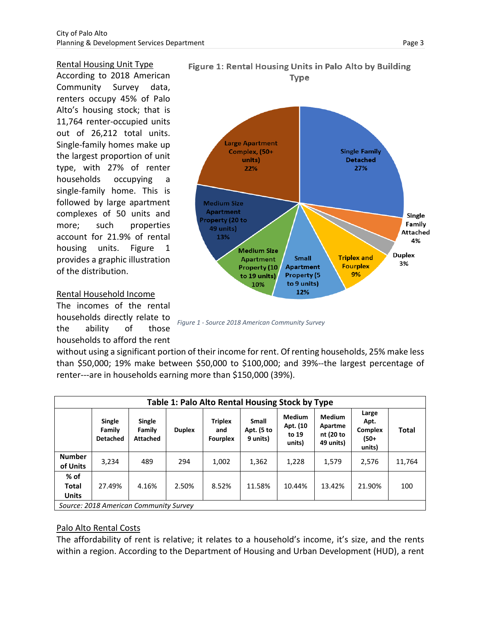#### Rental Housing Unit Type

According to 2018 American Community Survey data, renters occupy 45% of Palo Alto's housing stock; that is 11,764 renter-occupied units out of 26,212 total units. Single-family homes make up the largest proportion of unit type, with 27% of renter households occupying a single-family home. This is followed by large apartment complexes of 50 units and more; such properties account for 21.9% of rental housing units. Figure 1 provides a graphic illustration of the distribution.

#### Rental Household Income

The incomes of the rental households directly relate to the ability of those households to afford the rent





*Figure 1 - Source 2018 American Community Survey*

without using a significant portion of their income for rent. Of renting households, 25% make less than \$50,000; 19% make between \$50,000 to \$100,000; and 39%--the largest percentage of renter---are in households earning more than \$150,000 (39%).

| Table 1: Palo Alto Rental Housing Stock by Type |                                     |                                     |               |                                          |                                        |                                              |                                                    |                                                   |              |  |  |
|-------------------------------------------------|-------------------------------------|-------------------------------------|---------------|------------------------------------------|----------------------------------------|----------------------------------------------|----------------------------------------------------|---------------------------------------------------|--------------|--|--|
|                                                 | Single<br>Family<br><b>Detached</b> | Single<br>Family<br><b>Attached</b> | <b>Duplex</b> | <b>Triplex</b><br>and<br><b>Fourplex</b> | <b>Small</b><br>Apt. (5 to<br>9 units) | <b>Medium</b><br>Apt. (10<br>to 19<br>units) | <b>Medium</b><br>Apartme<br>nt (20 to<br>49 units) | Large<br>Apt.<br><b>Complex</b><br>(50+<br>units) | <b>Total</b> |  |  |
| <b>Number</b><br>of Units                       | 3,234                               | 489                                 | 294           | 1,002                                    | 1,362                                  | 1,228                                        | 1,579                                              | 2,576                                             | 11,764       |  |  |
| % of<br>Total<br><b>Units</b>                   | 27.49%                              | 4.16%                               | 2.50%         | 8.52%                                    | 11.58%                                 | 10.44%                                       | 13.42%                                             | 21.90%                                            | 100          |  |  |
| Source: 2018 American Community Survey          |                                     |                                     |               |                                          |                                        |                                              |                                                    |                                                   |              |  |  |

### Palo Alto Rental Costs

The affordability of rent is relative; it relates to a household's income, it's size, and the rents within a region. According to the Department of Housing and Urban Development (HUD), a rent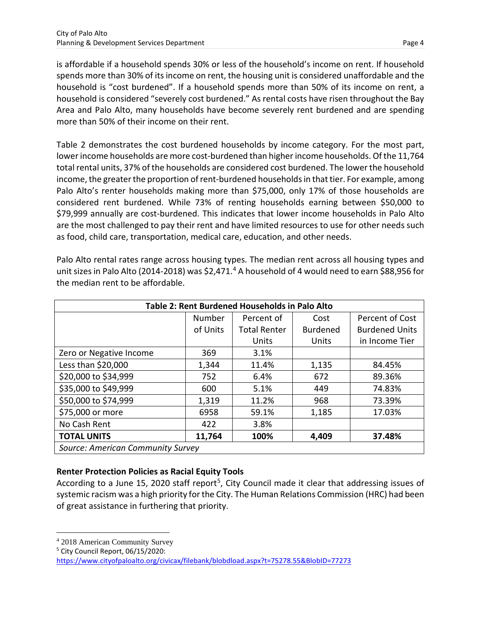is affordable if a household spends 30% or less of the household's income on rent. If household spends more than 30% of its income on rent, the housing unit is considered unaffordable and the household is "cost burdened". If a household spends more than 50% of its income on rent, a household is considered "severely cost burdened." As rental costs have risen throughout the Bay Area and Palo Alto, many households have become severely rent burdened and are spending more than 50% of their income on their rent.

Table 2 demonstrates the cost burdened households by income category. For the most part, lower income households are more cost-burdened than higher income households. Of the 11,764 total rental units, 37% of the households are considered cost burdened. The lower the household income, the greater the proportion of rent-burdened households in that tier. For example, among Palo Alto's renter households making more than \$75,000, only 17% of those households are considered rent burdened. While 73% of renting households earning between \$50,000 to \$79,999 annually are cost-burdened. This indicates that lower income households in Palo Alto are the most challenged to pay their rent and have limited resources to use for other needs such as food, child care, transportation, medical care, education, and other needs.

Palo Alto rental rates range across housing types. The median rent across all housing types and unit sizes in Palo Alto (201[4](#page-3-0)-2018) was \$2,471.<sup>4</sup> A household of 4 would need to earn \$88,956 for the median rent to be affordable.

| Table 2: Rent Burdened Households in Palo Alto |          |                     |                 |                       |  |  |  |  |  |
|------------------------------------------------|----------|---------------------|-----------------|-----------------------|--|--|--|--|--|
|                                                | Number   | Percent of          | Cost            | Percent of Cost       |  |  |  |  |  |
|                                                | of Units | <b>Total Renter</b> | <b>Burdened</b> | <b>Burdened Units</b> |  |  |  |  |  |
|                                                |          | Units               | Units           | in Income Tier        |  |  |  |  |  |
| Zero or Negative Income                        | 369      | 3.1%                |                 |                       |  |  |  |  |  |
| Less than \$20,000                             | 1,344    | 11.4%               | 1,135           | 84.45%                |  |  |  |  |  |
| \$20,000 to \$34,999                           | 752      | 6.4%                | 672             | 89.36%                |  |  |  |  |  |
| \$35,000 to \$49,999                           | 600      | 5.1%                | 449             | 74.83%                |  |  |  |  |  |
| \$50,000 to \$74,999                           | 1,319    | 11.2%               | 968             | 73.39%                |  |  |  |  |  |
| \$75,000 or more                               | 6958     | 59.1%               | 1,185           | 17.03%                |  |  |  |  |  |
| No Cash Rent                                   | 422      | 3.8%                |                 |                       |  |  |  |  |  |
| <b>TOTAL UNITS</b>                             | 11,764   | 100%                | 4,409           | 37.48%                |  |  |  |  |  |
| Source: American Community Survey              |          |                     |                 |                       |  |  |  |  |  |

## **Renter Protection Policies as Racial Equity Tools**

According to a June 1[5,](#page-3-1) 2020 staff report<sup>5</sup>, City Council made it clear that addressing issues of systemic racism was a high priority for the City. The Human Relations Commission (HRC) had been of great assistance in furthering that priority.

<span id="page-3-0"></span><sup>4</sup> 2018 American Community Survey

<span id="page-3-1"></span><sup>5</sup> City Council Report, 06/15/2020:

<https://www.cityofpaloalto.org/civicax/filebank/blobdload.aspx?t=75278.55&BlobID=77273>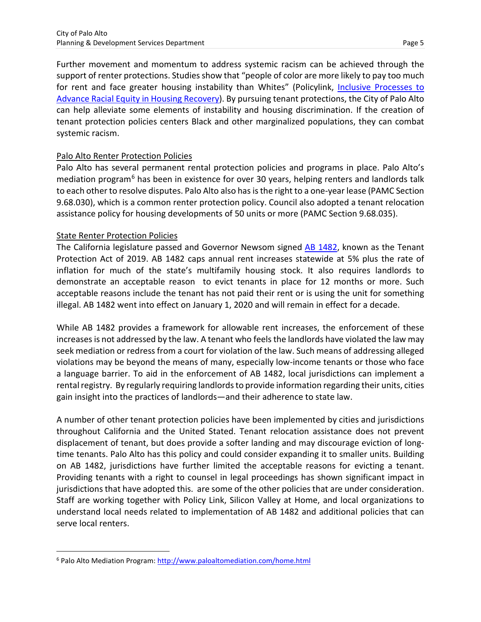Further movement and momentum to address systemic racism can be achieved through the support of renter protections. Studies show that "people of color are more likely to pay too much for rent and face greater housing instability than Whites" (Policylink, *Inclusive Processes to* [Advance Racial Equity in Housing Recovery\)](https://www.policylink.org/resources-tools/housing-inclusive-processes-covid). By pursuing tenant protections, the City of Palo Alto can help alleviate some elements of instability and housing discrimination. If the creation of tenant protection policies centers Black and other marginalized populations, they can combat systemic racism.

### Palo Alto Renter Protection Policies

Palo Alto has several permanent rental protection policies and programs in place. Palo Alto's mediation program<sup>[6](#page-4-0)</sup> has been in existence for over 30 years, helping renters and landlords talk to each other to resolve disputes. Palo Alto also has is the right to a one-year lease (PAMC Section 9.68.030), which is a common renter protection policy. Council also adopted a tenant relocation assistance policy for housing developments of 50 units or more (PAMC Section 9.68.035).

## State Renter Protection Policies

The California legislature passed and Governor Newsom signed [AB 1482,](https://leginfo.legislature.ca.gov/faces/billTextClient.xhtml?bill_id=201920200AB1482) known as the Tenant Protection Act of 2019. AB 1482 caps annual rent increases statewide at 5% plus the rate of inflation for much of the state's multifamily housing stock. It also requires landlords to demonstrate an acceptable reason to evict tenants in place for 12 months or more. Such acceptable reasons include the tenant has not paid their rent or is using the unit for something illegal. AB 1482 went into effect on January 1, 2020 and will remain in effect for a decade.

While AB 1482 provides a framework for allowable rent increases, the enforcement of these increases is not addressed by the law. A tenant who feels the landlords have violated the law may seek mediation or redress from a court for violation of the law. Such means of addressing alleged violations may be beyond the means of many, especially low-income tenants or those who face a language barrier. To aid in the enforcement of AB 1482, local jurisdictions can implement a rental registry. By regularly requiring landlords to provide information regarding their units, cities gain insight into the practices of landlords—and their adherence to state law.

A number of other tenant protection policies have been implemented by cities and jurisdictions throughout California and the United Stated. Tenant relocation assistance does not prevent displacement of tenant, but does provide a softer landing and may discourage eviction of longtime tenants. Palo Alto has this policy and could consider expanding it to smaller units. Building on AB 1482, jurisdictions have further limited the acceptable reasons for evicting a tenant. Providing tenants with a right to counsel in legal proceedings has shown significant impact in jurisdictions that have adopted this. are some of the other policies that are under consideration. Staff are working together with Policy Link, Silicon Valley at Home, and local organizations to understand local needs related to implementation of AB 1482 and additional policies that can serve local renters.

<span id="page-4-0"></span><sup>6</sup> Palo Alto Mediation Program[: http://www.paloaltomediation.com/home.html](http://www.paloaltomediation.com/home.html)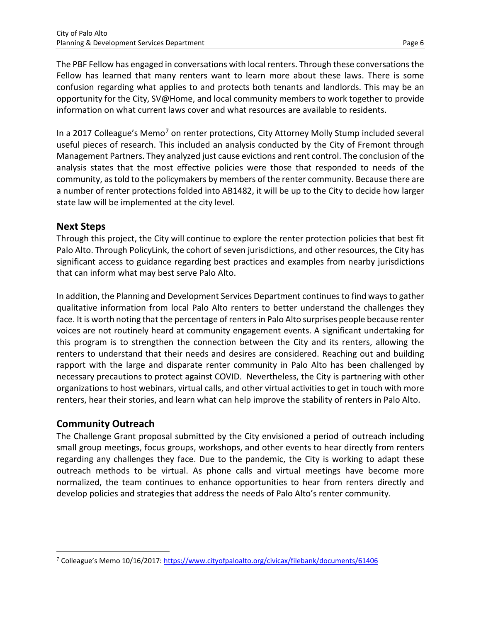The PBF Fellow has engaged in conversations with local renters. Through these conversations the Fellow has learned that many renters want to learn more about these laws. There is some confusion regarding what applies to and protects both tenants and landlords. This may be an opportunity for the City, SV@Home, and local community members to work together to provide information on what current laws cover and what resources are available to residents.

In a 201[7](#page-5-0) Colleague's Memo<sup>7</sup> on renter protections, City Attorney Molly Stump included several useful pieces of research. This included an analysis conducted by the City of Fremont through Management Partners. They analyzed just cause evictions and rent control. The conclusion of the analysis states that the most effective policies were those that responded to needs of the community, as told to the policymakers by members of the renter community. Because there are a number of renter protections folded into AB1482, it will be up to the City to decide how larger state law will be implemented at the city level.

## **Next Steps**

Through this project, the City will continue to explore the renter protection policies that best fit Palo Alto. Through PolicyLink, the cohort of seven jurisdictions, and other resources, the City has significant access to guidance regarding best practices and examples from nearby jurisdictions that can inform what may best serve Palo Alto.

In addition, the Planning and Development Services Department continues to find ways to gather qualitative information from local Palo Alto renters to better understand the challenges they face. It is worth noting that the percentage of renters in Palo Alto surprises people because renter voices are not routinely heard at community engagement events. A significant undertaking for this program is to strengthen the connection between the City and its renters, allowing the renters to understand that their needs and desires are considered. Reaching out and building rapport with the large and disparate renter community in Palo Alto has been challenged by necessary precautions to protect against COVID. Nevertheless, the City is partnering with other organizations to host webinars, virtual calls, and other virtual activities to get in touch with more renters, hear their stories, and learn what can help improve the stability of renters in Palo Alto.

# **Community Outreach**

The Challenge Grant proposal submitted by the City envisioned a period of outreach including small group meetings, focus groups, workshops, and other events to hear directly from renters regarding any challenges they face. Due to the pandemic, the City is working to adapt these outreach methods to be virtual. As phone calls and virtual meetings have become more normalized, the team continues to enhance opportunities to hear from renters directly and develop policies and strategies that address the needs of Palo Alto's renter community.

<span id="page-5-0"></span><sup>7</sup> Colleague's Memo 10/16/2017[: https://www.cityofpaloalto.org/civicax/filebank/documents/61406](https://www.cityofpaloalto.org/civicax/filebank/documents/61406)